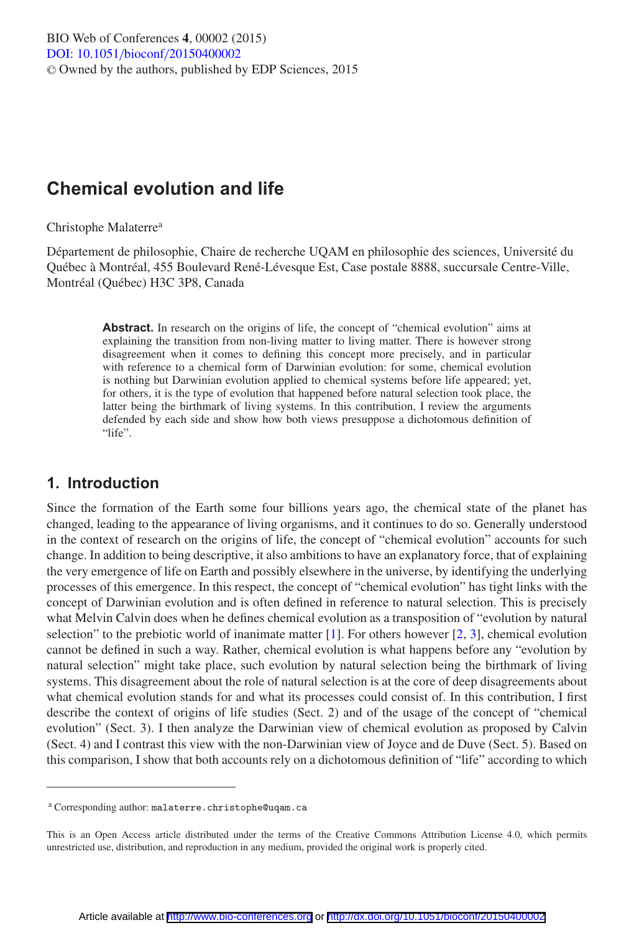# **Chemical evolution and life**

#### Christophe Malaterre<sup>a</sup>

Département de philosophie, Chaire de recherche UQAM en philosophie des sciences, Université du Québec à Montréal, 455 Boulevard René-Lévesque Est, Case postale 8888, succursale Centre-Ville, Montréal (Québec) H3C 3P8, Canada

> Abstract. In research on the origins of life, the concept of "chemical evolution" aims at explaining the transition from non-living matter to living matter. There is however strong disagreement when it comes to defining this concept more precisely, and in particular with reference to a chemical form of Darwinian evolution: for some, chemical evolution is nothing but Darwinian evolution applied to chemical systems before life appeared; yet, for others, it is the type of evolution that happened before natural selection took place, the latter being the birthmark of living systems. In this contribution, I review the arguments defended by each side and show how both views presuppose a dichotomous definition of "life".

### **1. Introduction**

Since the formation of the Earth some four billions years ago, the chemical state of the planet has changed, leading to the appearance of living organisms, and it continues to do so. Generally understood in the context of research on the origins of life, the concept of "chemical evolution" accounts for such change. In addition to being descriptive, it also ambitions to have an explanatory force, that of explaining the very emergence of life on Earth and possibly elsewhere in the universe, by identifying the underlying processes of this emergence. In this respect, the concept of "chemical evolution" has tight links with the concept of Darwinian evolution and is often defined in reference to natural selection. This is precisely what Melvin Calvin does when he defines chemical evolution as a transposition of "evolution by natural selection" to the prebiotic world of inanimate matter  $[1]$  $[1]$ . For others however  $[2, 3]$  $[2, 3]$  $[2, 3]$  $[2, 3]$ , chemical evolution cannot be defined in such a way. Rather, chemical evolution is what happens before any "evolution by natural selection" might take place, such evolution by natural selection being the birthmark of living systems. This disagreement about the role of natural selection is at the core of deep disagreements about what chemical evolution stands for and what its processes could consist of. In this contribution, I first describe the context of origins of life studies (Sect. 2) and of the usage of the concept of "chemical evolution" (Sect. 3). I then analyze the Darwinian view of chemical evolution as proposed by Calvin (Sect. 4) and I contrast this view with the non-Darwinian view of Joyce and de Duve (Sect. 5). Based on this comparison, I show that both accounts rely on a dichotomous definition of "life" according to which

<sup>a</sup> Corresponding author: malaterre.christophe@uqam.ca

This is an Open Access article distributed under the terms of the Creative Commons Attribution License 4.0, which permits unrestricted use, distribution, and reproduction in any medium, provided the original work is properly cited.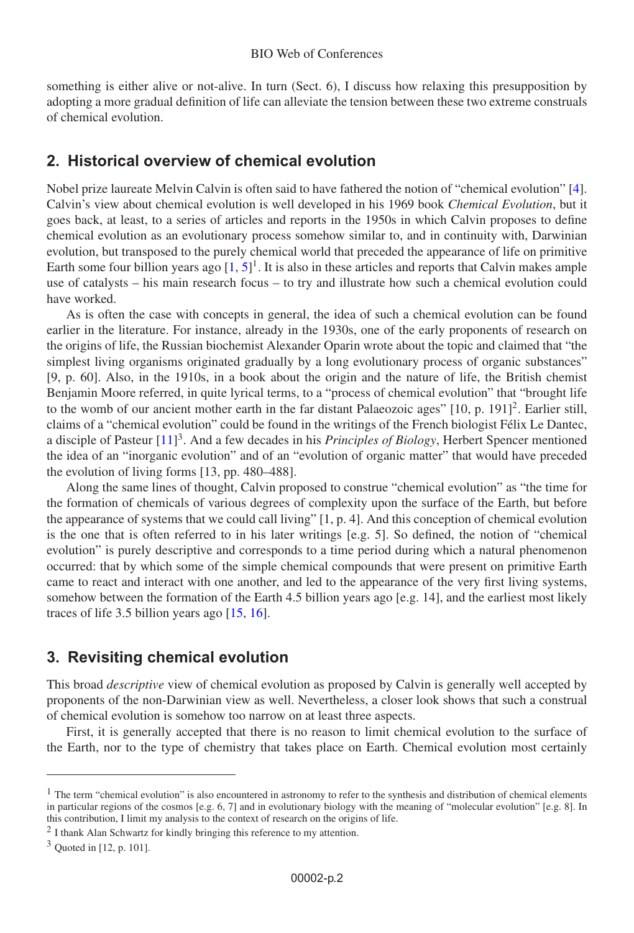something is either alive or not-alive. In turn (Sect. 6), I discuss how relaxing this presupposition by adopting a more gradual definition of life can alleviate the tension between these two extreme construals of chemical evolution.

#### **2. Historical overview of chemical evolution**

Nobel prize laureate Melvin Calvin is often said to have fathered the notion of "chemical evolution" [\[4\]](#page-5-3). Calvin's view about chemical evolution is well developed in his 1969 book *Chemical Evolution*, but it goes back, at least, to a series of articles and reports in the 1950s in which Calvin proposes to define chemical evolution as an evolutionary process somehow similar to, and in continuity with, Darwinian evolution, but transposed to the purely chemical world that preceded the appearance of life on primitive Earth some four billion years ago  $[1, 5]^1$  $[1, 5]^1$  $[1, 5]^1$  $[1, 5]^1$ . It is also in these articles and reports that Calvin makes ample use of catalysts – his main research focus – to try and illustrate how such a chemical evolution could have worked.

As is often the case with concepts in general, the idea of such a chemical evolution can be found earlier in the literature. For instance, already in the 1930s, one of the early proponents of research on the origins of life, the Russian biochemist Alexander Oparin wrote about the topic and claimed that "the simplest living organisms originated gradually by a long evolutionary process of organic substances" [9, p. 60]. Also, in the 1910s, in a book about the origin and the nature of life, the British chemist Benjamin Moore referred, in quite lyrical terms, to a "process of chemical evolution" that "brought life to the womb of our ancient mother earth in the far distant Palaeozoic ages"  $[10, p. 191]^2$ . Earlier still, claims of a "chemical evolution" could be found in the writings of the French biologist Félix Le Dantec, a disciple of Pasteur [\[11\]](#page-6-0) 3. And a few decades in his *Principles of Biology*, Herbert Spencer mentioned the idea of an "inorganic evolution" and of an "evolution of organic matter" that would have preceded the evolution of living forms [13, pp. 480–488].

Along the same lines of thought, Calvin proposed to construe "chemical evolution" as "the time for the formation of chemicals of various degrees of complexity upon the surface of the Earth, but before the appearance of systems that we could call living" [1, p. 4]. And this conception of chemical evolution is the one that is often referred to in his later writings [e.g. 5]. So defined, the notion of "chemical evolution" is purely descriptive and corresponds to a time period during which a natural phenomenon occurred: that by which some of the simple chemical compounds that were present on primitive Earth came to react and interact with one another, and led to the appearance of the very first living systems, somehow between the formation of the Earth 4.5 billion years ago [e.g. 14], and the earliest most likely traces of life 3.5 billion years ago [\[15,](#page-6-1) [16\]](#page-6-2).

### **3. Revisiting chemical evolution**

This broad *descriptive* view of chemical evolution as proposed by Calvin is generally well accepted by proponents of the non-Darwinian view as well. Nevertheless, a closer look shows that such a construal of chemical evolution is somehow too narrow on at least three aspects.

First, it is generally accepted that there is no reason to limit chemical evolution to the surface of the Earth, nor to the type of chemistry that takes place on Earth. Chemical evolution most certainly

 $<sup>1</sup>$  The term "chemical evolution" is also encountered in astronomy to refer to the synthesis and distribution of chemical elements</sup> in particular regions of the cosmos [e.g. 6, 7] and in evolutionary biology with the meaning of "molecular evolution" [e.g. 8]. In this contribution, I limit my analysis to the context of research on the origins of life.

<sup>2</sup> I thank Alan Schwartz for kindly bringing this reference to my attention.

 $3$  Quoted in [12, p. 101].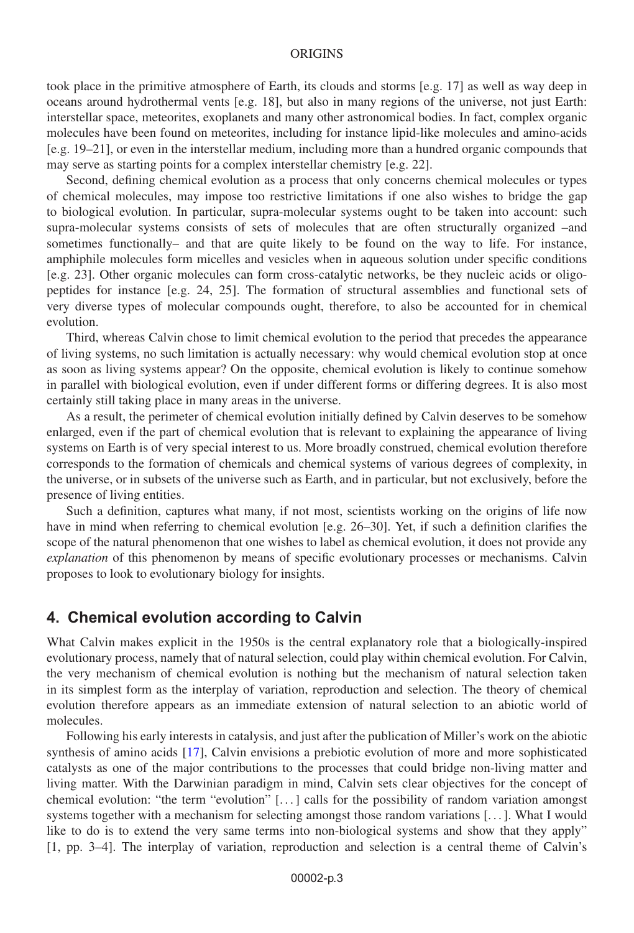#### **ORIGINS**

took place in the primitive atmosphere of Earth, its clouds and storms [e.g. 17] as well as way deep in oceans around hydrothermal vents [e.g. 18], but also in many regions of the universe, not just Earth: interstellar space, meteorites, exoplanets and many other astronomical bodies. In fact, complex organic molecules have been found on meteorites, including for instance lipid-like molecules and amino-acids [e.g. 19–21], or even in the interstellar medium, including more than a hundred organic compounds that may serve as starting points for a complex interstellar chemistry [e.g. 22].

Second, defining chemical evolution as a process that only concerns chemical molecules or types of chemical molecules, may impose too restrictive limitations if one also wishes to bridge the gap to biological evolution. In particular, supra-molecular systems ought to be taken into account: such supra-molecular systems consists of sets of molecules that are often structurally organized –and sometimes functionally– and that are quite likely to be found on the way to life. For instance, amphiphile molecules form micelles and vesicles when in aqueous solution under specific conditions [e.g. 23]. Other organic molecules can form cross-catalytic networks, be they nucleic acids or oligopeptides for instance [e.g. 24, 25]. The formation of structural assemblies and functional sets of very diverse types of molecular compounds ought, therefore, to also be accounted for in chemical evolution.

Third, whereas Calvin chose to limit chemical evolution to the period that precedes the appearance of living systems, no such limitation is actually necessary: why would chemical evolution stop at once as soon as living systems appear? On the opposite, chemical evolution is likely to continue somehow in parallel with biological evolution, even if under different forms or differing degrees. It is also most certainly still taking place in many areas in the universe.

As a result, the perimeter of chemical evolution initially defined by Calvin deserves to be somehow enlarged, even if the part of chemical evolution that is relevant to explaining the appearance of living systems on Earth is of very special interest to us. More broadly construed, chemical evolution therefore corresponds to the formation of chemicals and chemical systems of various degrees of complexity, in the universe, or in subsets of the universe such as Earth, and in particular, but not exclusively, before the presence of living entities.

Such a definition, captures what many, if not most, scientists working on the origins of life now have in mind when referring to chemical evolution [e.g. 26–30]. Yet, if such a definition clarifies the scope of the natural phenomenon that one wishes to label as chemical evolution, it does not provide any *explanation* of this phenomenon by means of specific evolutionary processes or mechanisms. Calvin proposes to look to evolutionary biology for insights.

#### **4. Chemical evolution according to Calvin**

What Calvin makes explicit in the 1950s is the central explanatory role that a biologically-inspired evolutionary process, namely that of natural selection, could play within chemical evolution. For Calvin, the very mechanism of chemical evolution is nothing but the mechanism of natural selection taken in its simplest form as the interplay of variation, reproduction and selection. The theory of chemical evolution therefore appears as an immediate extension of natural selection to an abiotic world of molecules.

Following his early interests in catalysis, and just after the publication of Miller's work on the abiotic synthesis of amino acids [\[17\]](#page-6-3), Calvin envisions a prebiotic evolution of more and more sophisticated catalysts as one of the major contributions to the processes that could bridge non-living matter and living matter. With the Darwinian paradigm in mind, Calvin sets clear objectives for the concept of chemical evolution: "the term "evolution" [. . . ] calls for the possibility of random variation amongst systems together with a mechanism for selecting amongst those random variations [. . . ]. What I would like to do is to extend the very same terms into non-biological systems and show that they apply" [1, pp. 3–4]. The interplay of variation, reproduction and selection is a central theme of Calvin's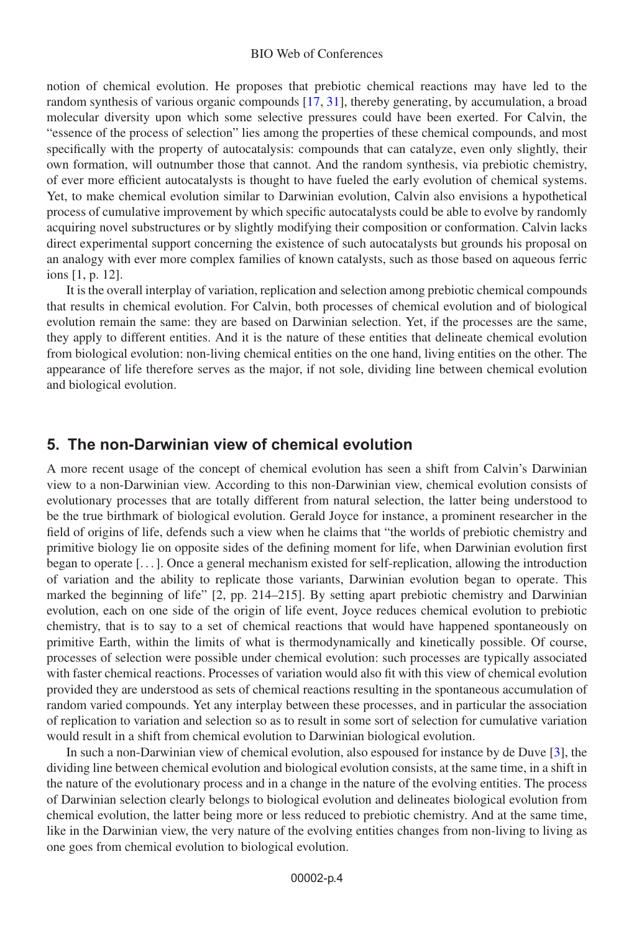notion of chemical evolution. He proposes that prebiotic chemical reactions may have led to the random synthesis of various organic compounds [\[17](#page-6-3), [31](#page-6-4)], thereby generating, by accumulation, a broad molecular diversity upon which some selective pressures could have been exerted. For Calvin, the "essence of the process of selection" lies among the properties of these chemical compounds, and most specifically with the property of autocatalysis: compounds that can catalyze, even only slightly, their own formation, will outnumber those that cannot. And the random synthesis, via prebiotic chemistry, of ever more efficient autocatalysts is thought to have fueled the early evolution of chemical systems. Yet, to make chemical evolution similar to Darwinian evolution, Calvin also envisions a hypothetical process of cumulative improvement by which specific autocatalysts could be able to evolve by randomly acquiring novel substructures or by slightly modifying their composition or conformation. Calvin lacks direct experimental support concerning the existence of such autocatalysts but grounds his proposal on an analogy with ever more complex families of known catalysts, such as those based on aqueous ferric ions [1, p. 12].

It is the overall interplay of variation, replication and selection among prebiotic chemical compounds that results in chemical evolution. For Calvin, both processes of chemical evolution and of biological evolution remain the same: they are based on Darwinian selection. Yet, if the processes are the same, they apply to different entities. And it is the nature of these entities that delineate chemical evolution from biological evolution: non-living chemical entities on the one hand, living entities on the other. The appearance of life therefore serves as the major, if not sole, dividing line between chemical evolution and biological evolution.

### **5. The non-Darwinian view of chemical evolution**

A more recent usage of the concept of chemical evolution has seen a shift from Calvin's Darwinian view to a non-Darwinian view. According to this non-Darwinian view, chemical evolution consists of evolutionary processes that are totally different from natural selection, the latter being understood to be the true birthmark of biological evolution. Gerald Joyce for instance, a prominent researcher in the field of origins of life, defends such a view when he claims that "the worlds of prebiotic chemistry and primitive biology lie on opposite sides of the defining moment for life, when Darwinian evolution first began to operate [. . . ]. Once a general mechanism existed for self-replication, allowing the introduction of variation and the ability to replicate those variants, Darwinian evolution began to operate. This marked the beginning of life" [2, pp. 214–215]. By setting apart prebiotic chemistry and Darwinian evolution, each on one side of the origin of life event, Joyce reduces chemical evolution to prebiotic chemistry, that is to say to a set of chemical reactions that would have happened spontaneously on primitive Earth, within the limits of what is thermodynamically and kinetically possible. Of course, processes of selection were possible under chemical evolution: such processes are typically associated with faster chemical reactions. Processes of variation would also fit with this view of chemical evolution provided they are understood as sets of chemical reactions resulting in the spontaneous accumulation of random varied compounds. Yet any interplay between these processes, and in particular the association of replication to variation and selection so as to result in some sort of selection for cumulative variation would result in a shift from chemical evolution to Darwinian biological evolution.

In such a non-Darwinian view of chemical evolution, also espoused for instance by de Duve [\[3](#page-5-2)], the dividing line between chemical evolution and biological evolution consists, at the same time, in a shift in the nature of the evolutionary process and in a change in the nature of the evolving entities. The process of Darwinian selection clearly belongs to biological evolution and delineates biological evolution from chemical evolution, the latter being more or less reduced to prebiotic chemistry. And at the same time, like in the Darwinian view, the very nature of the evolving entities changes from non-living to living as one goes from chemical evolution to biological evolution.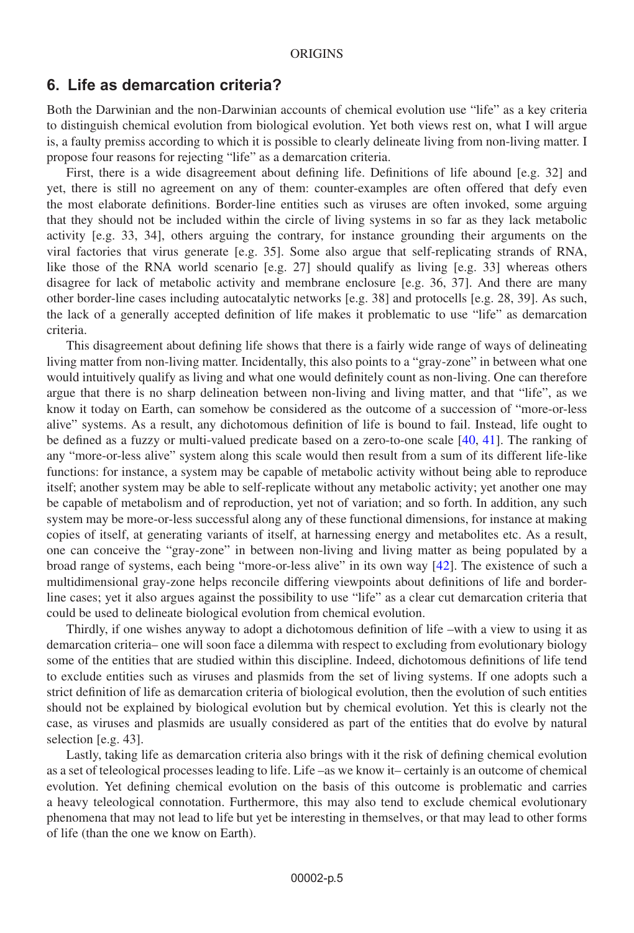#### **6. Life as demarcation criteria?**

Both the Darwinian and the non-Darwinian accounts of chemical evolution use "life" as a key criteria to distinguish chemical evolution from biological evolution. Yet both views rest on, what I will argue is, a faulty premiss according to which it is possible to clearly delineate living from non-living matter. I propose four reasons for rejecting "life" as a demarcation criteria.

First, there is a wide disagreement about defining life. Definitions of life abound [e.g. 32] and yet, there is still no agreement on any of them: counter-examples are often offered that defy even the most elaborate definitions. Border-line entities such as viruses are often invoked, some arguing that they should not be included within the circle of living systems in so far as they lack metabolic activity [e.g. 33, 34], others arguing the contrary, for instance grounding their arguments on the viral factories that virus generate [e.g. 35]. Some also argue that self-replicating strands of RNA, like those of the RNA world scenario [e.g. 27] should qualify as living [e.g. 33] whereas others disagree for lack of metabolic activity and membrane enclosure [e.g. 36, 37]. And there are many other border-line cases including autocatalytic networks [e.g. 38] and protocells [e.g. 28, 39]. As such, the lack of a generally accepted definition of life makes it problematic to use "life" as demarcation criteria.

This disagreement about defining life shows that there is a fairly wide range of ways of delineating living matter from non-living matter. Incidentally, this also points to a "gray-zone" in between what one would intuitively qualify as living and what one would definitely count as non-living. One can therefore argue that there is no sharp delineation between non-living and living matter, and that "life", as we know it today on Earth, can somehow be considered as the outcome of a succession of "more-or-less alive" systems. As a result, any dichotomous definition of life is bound to fail. Instead, life ought to be defined as a fuzzy or multi-valued predicate based on a zero-to-one scale [\[40](#page-7-0), [41](#page-7-1)]. The ranking of any "more-or-less alive" system along this scale would then result from a sum of its different life-like functions: for instance, a system may be capable of metabolic activity without being able to reproduce itself; another system may be able to self-replicate without any metabolic activity; yet another one may be capable of metabolism and of reproduction, yet not of variation; and so forth. In addition, any such system may be more-or-less successful along any of these functional dimensions, for instance at making copies of itself, at generating variants of itself, at harnessing energy and metabolites etc. As a result, one can conceive the "gray-zone" in between non-living and living matter as being populated by a broad range of systems, each being "more-or-less alive" in its own way [\[42\]](#page-7-2). The existence of such a multidimensional gray-zone helps reconcile differing viewpoints about definitions of life and borderline cases; yet it also argues against the possibility to use "life" as a clear cut demarcation criteria that could be used to delineate biological evolution from chemical evolution.

Thirdly, if one wishes anyway to adopt a dichotomous definition of life –with a view to using it as demarcation criteria– one will soon face a dilemma with respect to excluding from evolutionary biology some of the entities that are studied within this discipline. Indeed, dichotomous definitions of life tend to exclude entities such as viruses and plasmids from the set of living systems. If one adopts such a strict definition of life as demarcation criteria of biological evolution, then the evolution of such entities should not be explained by biological evolution but by chemical evolution. Yet this is clearly not the case, as viruses and plasmids are usually considered as part of the entities that do evolve by natural selection [e.g. 43].

Lastly, taking life as demarcation criteria also brings with it the risk of defining chemical evolution as a set of teleological processes leading to life. Life –as we know it– certainly is an outcome of chemical evolution. Yet defining chemical evolution on the basis of this outcome is problematic and carries a heavy teleological connotation. Furthermore, this may also tend to exclude chemical evolutionary phenomena that may not lead to life but yet be interesting in themselves, or that may lead to other forms of life (than the one we know on Earth).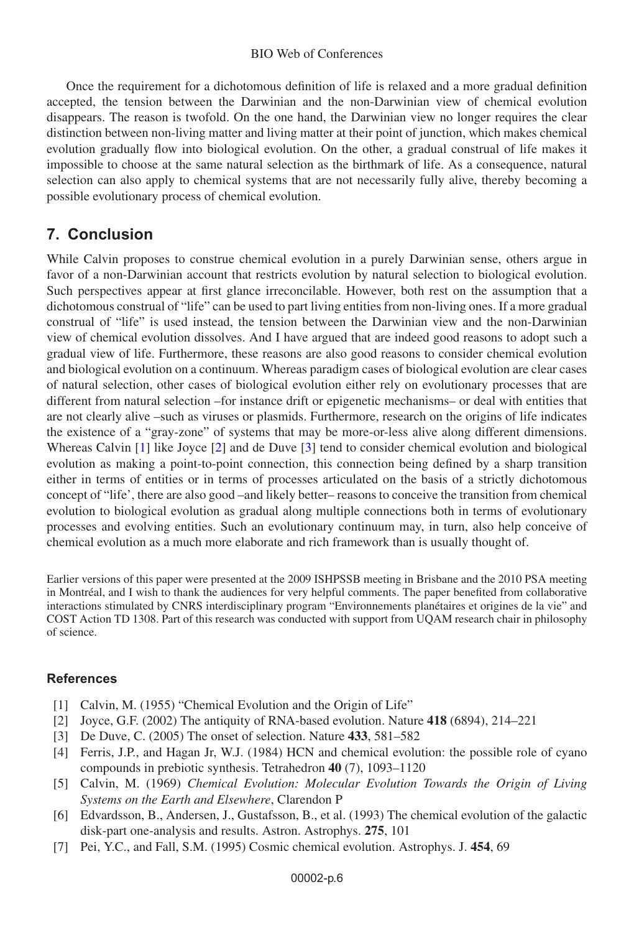Once the requirement for a dichotomous definition of life is relaxed and a more gradual definition accepted, the tension between the Darwinian and the non-Darwinian view of chemical evolution disappears. The reason is twofold. On the one hand, the Darwinian view no longer requires the clear distinction between non-living matter and living matter at their point of junction, which makes chemical evolution gradually flow into biological evolution. On the other, a gradual construal of life makes it impossible to choose at the same natural selection as the birthmark of life. As a consequence, natural selection can also apply to chemical systems that are not necessarily fully alive, thereby becoming a possible evolutionary process of chemical evolution.

## **7. Conclusion**

While Calvin proposes to construe chemical evolution in a purely Darwinian sense, others argue in favor of a non-Darwinian account that restricts evolution by natural selection to biological evolution. Such perspectives appear at first glance irreconcilable. However, both rest on the assumption that a dichotomous construal of "life" can be used to part living entities from non-living ones. If a more gradual construal of "life" is used instead, the tension between the Darwinian view and the non-Darwinian view of chemical evolution dissolves. And I have argued that are indeed good reasons to adopt such a gradual view of life. Furthermore, these reasons are also good reasons to consider chemical evolution and biological evolution on a continuum. Whereas paradigm cases of biological evolution are clear cases of natural selection, other cases of biological evolution either rely on evolutionary processes that are different from natural selection –for instance drift or epigenetic mechanisms– or deal with entities that are not clearly alive –such as viruses or plasmids. Furthermore, research on the origins of life indicates the existence of a "gray-zone" of systems that may be more-or-less alive along different dimensions. Whereas Calvin [\[1\]](#page-5-0) like Joyce [\[2\]](#page-5-1) and de Duve [\[3](#page-5-2)] tend to consider chemical evolution and biological evolution as making a point-to-point connection, this connection being defined by a sharp transition either in terms of entities or in terms of processes articulated on the basis of a strictly dichotomous concept of "life', there are also good –and likely better– reasons to conceive the transition from chemical evolution to biological evolution as gradual along multiple connections both in terms of evolutionary processes and evolving entities. Such an evolutionary continuum may, in turn, also help conceive of chemical evolution as a much more elaborate and rich framework than is usually thought of.

Earlier versions of this paper were presented at the 2009 ISHPSSB meeting in Brisbane and the 2010 PSA meeting in Montréal, and I wish to thank the audiences for very helpful comments. The paper benefited from collaborative interactions stimulated by CNRS interdisciplinary program "Environnements planétaires et origines de la vie" and COST Action TD 1308. Part of this research was conducted with support from UQAM research chair in philosophy of science.

### <span id="page-5-0"></span>**References**

- [1] Calvin, M. (1955) "Chemical Evolution and the Origin of Life"
- <span id="page-5-1"></span>[2] Joyce, G.F. (2002) The antiquity of RNA-based evolution. Nature **418** (6894), 214–221
- <span id="page-5-2"></span>[3] De Duve, C. (2005) The onset of selection. Nature **433**, 581–582
- <span id="page-5-3"></span>[4] Ferris, J.P., and Hagan Jr, W.J. (1984) HCN and chemical evolution: the possible role of cyano compounds in prebiotic synthesis. Tetrahedron **40** (7), 1093–1120
- <span id="page-5-4"></span>[5] Calvin, M. (1969) *Chemical Evolution: Molecular Evolution Towards the Origin of Living Systems on the Earth and Elsewhere*, Clarendon P
- [6] Edvardsson, B., Andersen, J., Gustafsson, B., et al. (1993) The chemical evolution of the galactic disk-part one-analysis and results. Astron. Astrophys. **275**, 101
- [7] Pei, Y.C., and Fall, S.M. (1995) Cosmic chemical evolution. Astrophys. J. **454**, 69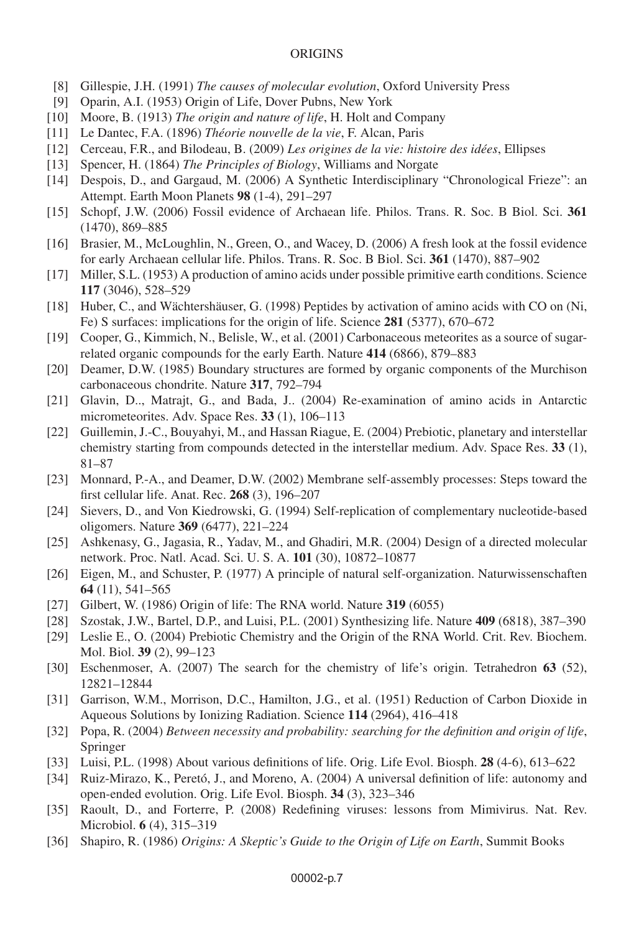#### **ORIGINS**

- [8] Gillespie, J.H. (1991) *The causes of molecular evolution*, Oxford University Press
- [9] Oparin, A.I. (1953) Origin of Life, Dover Pubns, New York
- [10] Moore, B. (1913) *The origin and nature of life*, H. Holt and Company
- <span id="page-6-0"></span>[11] Le Dantec, F.A. (1896) *Théorie nouvelle de la vie*, F. Alcan, Paris
- [12] Cerceau, F.R., and Bilodeau, B. (2009) *Les origines de la vie: histoire des idées*, Ellipses
- [13] Spencer, H. (1864) *The Principles of Biology*, Williams and Norgate
- [14] Despois, D., and Gargaud, M. (2006) A Synthetic Interdisciplinary "Chronological Frieze": an Attempt. Earth Moon Planets **98** (1-4), 291–297
- <span id="page-6-1"></span>[15] Schopf, J.W. (2006) Fossil evidence of Archaean life. Philos. Trans. R. Soc. B Biol. Sci. **361** (1470), 869–885
- <span id="page-6-2"></span>[16] Brasier, M., McLoughlin, N., Green, O., and Wacey, D. (2006) A fresh look at the fossil evidence for early Archaean cellular life. Philos. Trans. R. Soc. B Biol. Sci. **361** (1470), 887–902
- <span id="page-6-3"></span>[17] Miller, S.L. (1953) A production of amino acids under possible primitive earth conditions. Science **117** (3046), 528–529
- [18] Huber, C., and Wächtershäuser, G. (1998) Peptides by activation of amino acids with CO on (Ni, Fe) S surfaces: implications for the origin of life. Science **281** (5377), 670–672
- [19] Cooper, G., Kimmich, N., Belisle, W., et al. (2001) Carbonaceous meteorites as a source of sugarrelated organic compounds for the early Earth. Nature **414** (6866), 879–883
- [20] Deamer, D.W. (1985) Boundary structures are formed by organic components of the Murchison carbonaceous chondrite. Nature **317**, 792–794
- [21] Glavin, D.., Matrajt, G., and Bada, J.. (2004) Re-examination of amino acids in Antarctic micrometeorites. Adv. Space Res. **33** (1), 106–113
- [22] Guillemin, J.-C., Bouyahyi, M., and Hassan Riague, E. (2004) Prebiotic, planetary and interstellar chemistry starting from compounds detected in the interstellar medium. Adv. Space Res. **33** (1), 81–87
- [23] Monnard, P.-A., and Deamer, D.W. (2002) Membrane self-assembly processes: Steps toward the first cellular life. Anat. Rec. **268** (3), 196–207
- [24] Sievers, D., and Von Kiedrowski, G. (1994) Self-replication of complementary nucleotide-based oligomers. Nature **369** (6477), 221–224
- [25] Ashkenasy, G., Jagasia, R., Yadav, M., and Ghadiri, M.R. (2004) Design of a directed molecular network. Proc. Natl. Acad. Sci. U. S. A. **101** (30), 10872–10877
- [26] Eigen, M., and Schuster, P. (1977) A principle of natural self-organization. Naturwissenschaften **64** (11), 541–565
- [27] Gilbert, W. (1986) Origin of life: The RNA world. Nature **319** (6055)
- [28] Szostak, J.W., Bartel, D.P., and Luisi, P.L. (2001) Synthesizing life. Nature **409** (6818), 387–390
- [29] Leslie E., O. (2004) Prebiotic Chemistry and the Origin of the RNA World. Crit. Rev. Biochem. Mol. Biol. **39** (2), 99–123
- [30] Eschenmoser, A. (2007) The search for the chemistry of life's origin. Tetrahedron **63** (52), 12821–12844
- <span id="page-6-4"></span>[31] Garrison, W.M., Morrison, D.C., Hamilton, J.G., et al. (1951) Reduction of Carbon Dioxide in Aqueous Solutions by Ionizing Radiation. Science **114** (2964), 416–418
- [32] Popa, R. (2004) *Between necessity and probability: searching for the definition and origin of life*, Springer
- [33] Luisi, P.L. (1998) About various definitions of life. Orig. Life Evol. Biosph. **28** (4-6), 613–622
- [34] Ruiz-Mirazo, K., Peretó, J., and Moreno, A. (2004) A universal definition of life: autonomy and open-ended evolution. Orig. Life Evol. Biosph. **34** (3), 323–346
- [35] Raoult, D., and Forterre, P. (2008) Redefining viruses: lessons from Mimivirus. Nat. Rev. Microbiol. **6** (4), 315–319
- [36] Shapiro, R. (1986) *Origins: A Skeptic's Guide to the Origin of Life on Earth*, Summit Books